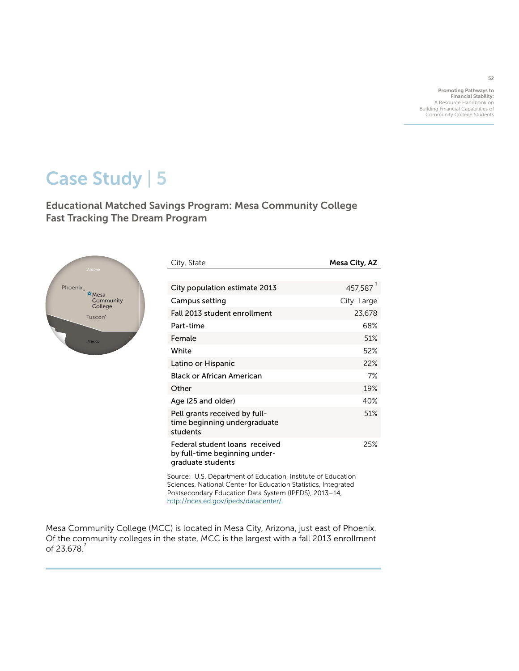Promoting Pathways to Financial Stability: A Resource Handbook on Building Financial Capabilities of Community College Students

52

# Case Study | 5

Educational Matched Savings Program: Mesa Community College Fast Tracking The Dream Program



| City, State                                                                          | Mesa City, AZ        |
|--------------------------------------------------------------------------------------|----------------------|
|                                                                                      |                      |
| City population estimate 2013                                                        | 457,587 <sup>1</sup> |
| Campus setting                                                                       | City: Large          |
| Fall 2013 student enrollment                                                         | 23,678               |
| Part-time                                                                            | 68%                  |
| Female                                                                               | 51%                  |
| White                                                                                | 52%                  |
| Latino or Hispanic                                                                   | 22%                  |
| Black or African American                                                            | 7%                   |
| Other                                                                                | 19%                  |
| Age (25 and older)                                                                   | 40%                  |
| Pell grants received by full-<br>time beginning undergraduate<br>students            | 51%                  |
| Federal student loans received<br>by full-time beginning under-<br>graduate students | 25%                  |
|                                                                                      |                      |

Source: U.S. Department of Education, Institute of Education Sciences, National Center for Education Statistics, Integrated Postsecondary Education Data System (IPEDS), 2013–14, <http://nces.ed.gov/ipeds/datacenter/>.

Mesa Community College (MCC) is located in Mesa City, Arizona, just east of Phoenix. Of the community colleges in the state, MCC is the largest with a fall 2013 enrollment of  $23,678.2$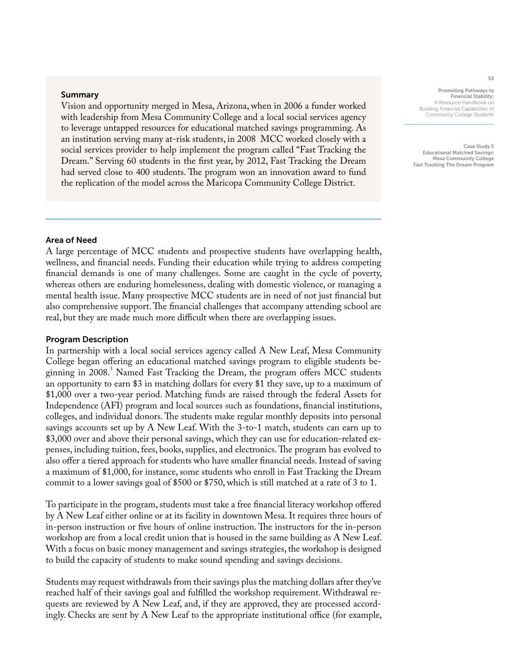#### Summary

Vision and opportunity merged in Mesa, Arizona, when in 2006 a funder worked with leadership from Mesa Community College and a local social services agency to leverage untapped resources for educational matched savings programming. As an institution serving many at-risk students, in 2008 MCC worked closely with a social services provider to help implement the program called "Fast Tracking the Dream." Serving 60 students in the first year, by 2012, Fast Tracking the Dream had served close to 400 students. The program won an innovation award to fund the replication of the model across the Maricopa Community College District.

Financial Stability: A Resource Handbook on Building Financial Capabilities of Community College Students

Promoting Pathways to

Case Study 5 Educational Matched Savings: Mesa Community College Fast Tracking The Dream Program

# Area of Need

A large percentage of MCC students and prospective students have overlapping health, wellness, and financial needs. Funding their education while trying to address competing financial demands is one of many challenges. Some are caught in the cycle of poverty, whereas others are enduring homelessness, dealing with domestic violence, or managing a mental health issue. Many prospective MCC students are in need of not just financial but also comprehensive support. The financial challenges that accompany attending school are real, but they are made much more difficult when there are overlapping issues.

#### Program Description

In partnership with a local social services agency called A New Leaf, Mesa Community College began offering an educational matched savings program to eligible students beginning in 2008.<sup>3</sup> Named Fast Tracking the Dream, the program offers MCC students an opportunity to earn \$3 in matching dollars for every \$1 they save, up to a maximum of \$1,000 over a two-year period. Matching funds are raised through the federal Assets for Independence (AFI) program and local sources such as foundations, financial institutions, colleges, and individual donors. The students make regular monthly deposits into personal savings accounts set up by A New Leaf. With the 3-to-1 match, students can earn up to \$3,000 over and above their personal savings, which they can use for education-related expenses, including tuition, fees, books, supplies, and electronics. The program has evolved to also offer a tiered approach for students who have smaller financial needs. Instead of saving a maximum of \$1,000, for instance, some students who enroll in Fast Tracking the Dream commit to a lower savings goal of \$500 or \$750, which is still matched at a rate of 3 to 1.

To participate in the program, students must take a free financial literacy workshop offered by A New Leaf either online or at its facility in downtown Mesa. It requires three hours of in-person instruction or five hours of online instruction. The instructors for the in-person workshop are from a local credit union that is housed in the same building as A New Leaf. With a focus on basic money management and savings strategies, the workshop is designed to build the capacity of students to make sound spending and savings decisions.

Students may request withdrawals from their savings plus the matching dollars after they've reached half of their savings goal and fulfilled the workshop requirement. Withdrawal requests are reviewed by A New Leaf, and, if they are approved, they are processed accordingly. Checks are sent by A New Leaf to the appropriate institutional office (for example,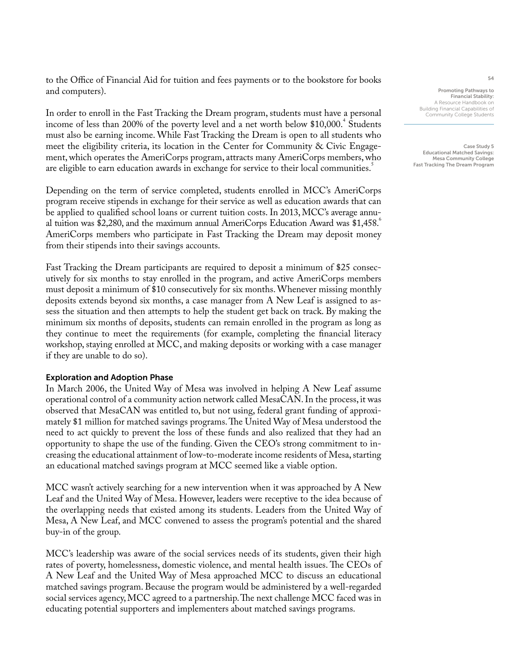to the Office of Financial Aid for tuition and fees payments or to the bookstore for books and computers).

In order to enroll in the Fast Tracking the Dream program, students must have a personal income of less than 200% of the poverty level and a net worth below  $$10,000$ .<sup>4</sup> Students must also be earning income. While Fast Tracking the Dream is open to all students who meet the eligibility criteria, its location in the Center for Community & Civic Engagement, which operates the AmeriCorps program, attracts many AmeriCorps members, who are eligible to earn education awards in exchange for service to their local communities.<sup>5</sup>

Depending on the term of service completed, students enrolled in MCC's AmeriCorps program receive stipends in exchange for their service as well as education awards that can be applied to qualified school loans or current tuition costs. In 2013, MCC's average annual tuition was \$2,280, and the maximum annual AmeriCorps Education Award was  $$1,458$ . AmeriCorps members who participate in Fast Tracking the Dream may deposit money from their stipends into their savings accounts.

Fast Tracking the Dream participants are required to deposit a minimum of \$25 consecutively for six months to stay enrolled in the program, and active AmeriCorps members must deposit a minimum of \$10 consecutively for six months. Whenever missing monthly deposits extends beyond six months, a case manager from A New Leaf is assigned to assess the situation and then attempts to help the student get back on track. By making the minimum six months of deposits, students can remain enrolled in the program as long as they continue to meet the requirements (for example, completing the financial literacy workshop, staying enrolled at MCC, and making deposits or working with a case manager if they are unable to do so).

## Exploration and Adoption Phase

In March 2006, the United Way of Mesa was involved in helping A New Leaf assume operational control of a community action network called MesaCAN. In the process, it was observed that MesaCAN was entitled to, but not using, federal grant funding of approximately \$1 million for matched savings programs. The United Way of Mesa understood the need to act quickly to prevent the loss of these funds and also realized that they had an opportunity to shape the use of the funding. Given the CEO's strong commitment to increasing the educational attainment of low-to-moderate income residents of Mesa, starting an educational matched savings program at MCC seemed like a viable option.

MCC wasn't actively searching for a new intervention when it was approached by A New Leaf and the United Way of Mesa. However, leaders were receptive to the idea because of the overlapping needs that existed among its students. Leaders from the United Way of Mesa, A New Leaf, and MCC convened to assess the program's potential and the shared buy-in of the group.

MCC's leadership was aware of the social services needs of its students, given their high rates of poverty, homelessness, domestic violence, and mental health issues. The CEOs of A New Leaf and the United Way of Mesa approached MCC to discuss an educational matched savings program. Because the program would be administered by a well-regarded social services agency, MCC agreed to a partnership. The next challenge MCC faced was in educating potential supporters and implementers about matched savings programs.

54

Promoting Pathways to Financial Stability: A Resource Handbook on Building Financial Capabilities of Community College Students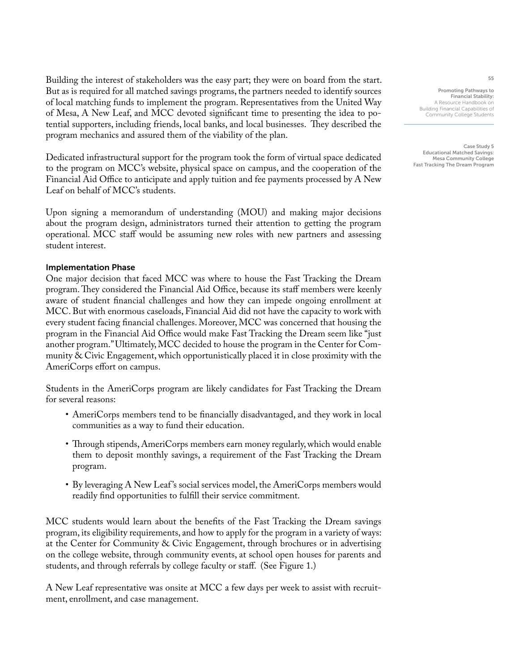Building the interest of stakeholders was the easy part; they were on board from the start. But as is required for all matched savings programs, the partners needed to identify sources of local matching funds to implement the program. Representatives from the United Way of Mesa, A New Leaf, and MCC devoted significant time to presenting the idea to potential supporters, including friends, local banks, and local businesses. They described the program mechanics and assured them of the viability of the plan.

Dedicated infrastructural support for the program took the form of virtual space dedicated to the program on MCC's website, physical space on campus, and the cooperation of the Financial Aid Office to anticipate and apply tuition and fee payments processed by A New Leaf on behalf of MCC's students.

Upon signing a memorandum of understanding (MOU) and making major decisions about the program design, administrators turned their attention to getting the program operational. MCC staff would be assuming new roles with new partners and assessing student interest.

# Implementation Phase

One major decision that faced MCC was where to house the Fast Tracking the Dream program. They considered the Financial Aid Office, because its staff members were keenly aware of student financial challenges and how they can impede ongoing enrollment at MCC. But with enormous caseloads, Financial Aid did not have the capacity to work with every student facing financial challenges. Moreover, MCC was concerned that housing the program in the Financial Aid Office would make Fast Tracking the Dream seem like "just another program." Ultimately, MCC decided to house the program in the Center for Community  $\&$  Civic Engagement, which opportunistically placed it in close proximity with the AmeriCorps effort on campus.

Students in the AmeriCorps program are likely candidates for Fast Tracking the Dream for several reasons:

- AmeriCorps members tend to be financially disadvantaged, and they work in local communities as a way to fund their education.
- Through stipends, AmeriCorps members earn money regularly, which would enable them to deposit monthly savings, a requirement of the Fast Tracking the Dream program.
- By leveraging A New Leaf 's social services model, the AmeriCorps members would readily find opportunities to fulfill their service commitment.

MCC students would learn about the benefits of the Fast Tracking the Dream savings program, its eligibility requirements, and how to apply for the program in a variety of ways: at the Center for Community & Civic Engagement, through brochures or in advertising on the college website, through community events, at school open houses for parents and students, and through referrals by college faculty or staff. (See Figure 1.)

A New Leaf representative was onsite at MCC a few days per week to assist with recruitment, enrollment, and case management.

Promoting Pathways to Financial Stability: A Resource Handbook on Building Financial Capabilities of Community College Students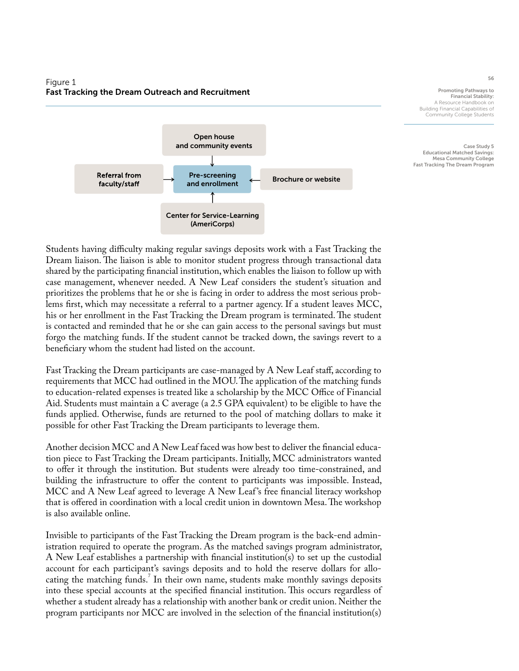# Figure 1 Fast Tracking the Dream Outreach and Recruitment



Promoting Pathways to Financial Stability: A Resource Handbook on Building Financial Capabilities of Community College Students

Case Study 5 Educational Matched Savings: Mesa Community College Fast Tracking The Dream Program

Students having difficulty making regular savings deposits work with a Fast Tracking the Dream liaison. The liaison is able to monitor student progress through transactional data shared by the participating financial institution, which enables the liaison to follow up with case management, whenever needed. A New Leaf considers the student's situation and prioritizes the problems that he or she is facing in order to address the most serious problems first, which may necessitate a referral to a partner agency. If a student leaves MCC, his or her enrollment in the Fast Tracking the Dream program is terminated. The student is contacted and reminded that he or she can gain access to the personal savings but must forgo the matching funds. If the student cannot be tracked down, the savings revert to a beneficiary whom the student had listed on the account.

Fast Tracking the Dream participants are case-managed by A New Leaf staff, according to requirements that MCC had outlined in the MOU. The application of the matching funds to education-related expenses is treated like a scholarship by the MCC Office of Financial Aid. Students must maintain a C average (a 2.5 GPA equivalent) to be eligible to have the funds applied. Otherwise, funds are returned to the pool of matching dollars to make it possible for other Fast Tracking the Dream participants to leverage them.

Another decision MCC and A New Leaf faced was how best to deliver the financial education piece to Fast Tracking the Dream participants. Initially, MCC administrators wanted to offer it through the institution. But students were already too time-constrained, and building the infrastructure to offer the content to participants was impossible. Instead, MCC and A New Leaf agreed to leverage A New Leaf 's free financial literacy workshop that is offered in coordination with a local credit union in downtown Mesa. The workshop is also available online.

Invisible to participants of the Fast Tracking the Dream program is the back-end administration required to operate the program. As the matched savings program administrator, A New Leaf establishes a partnership with financial institution(s) to set up the custodial account for each participant's savings deposits and to hold the reserve dollars for allocating the matching funds.<sup>7</sup> In their own name, students make monthly savings deposits into these special accounts at the specified financial institution. This occurs regardless of whether a student already has a relationship with another bank or credit union. Neither the program participants nor MCC are involved in the selection of the financial institution(s)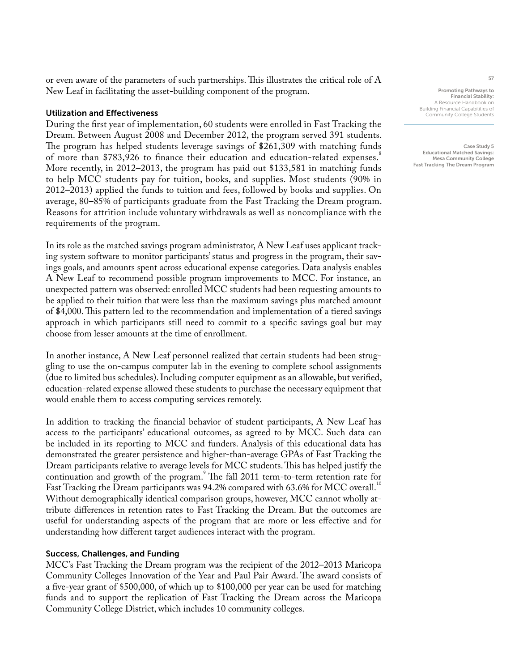or even aware of the parameters of such partnerships. This illustrates the critical role of A New Leaf in facilitating the asset-building component of the program.

## Utilization and Effectiveness

During the first year of implementation, 60 students were enrolled in Fast Tracking the Dream. Between August 2008 and December 2012, the program served 391 students. The program has helped students leverage savings of \$261,309 with matching funds of more than \$783,926 to finance their education and education-related expenses.<sup>8</sup> More recently, in 2012–2013, the program has paid out \$133,581 in matching funds to help MCC students pay for tuition, books, and supplies. Most students (90% in 2012–2013) applied the funds to tuition and fees, followed by books and supplies. On average, 80–85% of participants graduate from the Fast Tracking the Dream program. Reasons for attrition include voluntary withdrawals as well as noncompliance with the requirements of the program.

In its role as the matched savings program administrator, A New Leaf uses applicant tracking system software to monitor participants' status and progress in the program, their savings goals, and amounts spent across educational expense categories. Data analysis enables A New Leaf to recommend possible program improvements to MCC. For instance, an unexpected pattern was observed: enrolled MCC students had been requesting amounts to be applied to their tuition that were less than the maximum savings plus matched amount of \$4,000. This pattern led to the recommendation and implementation of a tiered savings approach in which participants still need to commit to a specific savings goal but may choose from lesser amounts at the time of enrollment.

In another instance, A New Leaf personnel realized that certain students had been struggling to use the on-campus computer lab in the evening to complete school assignments (due to limited bus schedules). Including computer equipment as an allowable, but verified, education-related expense allowed these students to purchase the necessary equipment that would enable them to access computing services remotely.

In addition to tracking the financial behavior of student participants, A New Leaf has access to the participants' educational outcomes, as agreed to by MCC. Such data can be included in its reporting to MCC and funders. Analysis of this educational data has demonstrated the greater persistence and higher-than-average GPAs of Fast Tracking the Dream participants relative to average levels for MCC students. This has helped justify the continuation and growth of the program.<sup>9</sup> The fall 2011 term-to-term retention rate for Fast Tracking the Dream participants was 94.2% compared with 63.6% for MCC overall.<sup>10</sup> Without demographically identical comparison groups, however, MCC cannot wholly attribute differences in retention rates to Fast Tracking the Dream. But the outcomes are useful for understanding aspects of the program that are more or less effective and for understanding how different target audiences interact with the program.

## Success, Challenges, and Funding

MCC's Fast Tracking the Dream program was the recipient of the 2012–2013 Maricopa Community Colleges Innovation of the Year and Paul Pair Award. The award consists of a five-year grant of \$500,000, of which up to \$100,000 per year can be used for matching funds and to support the replication of Fast Tracking the Dream across the Maricopa Community College District, which includes 10 community colleges.

Promoting Pathways to Financial Stability: A Resource Handbook on Building Financial Capabilities of Community College Students